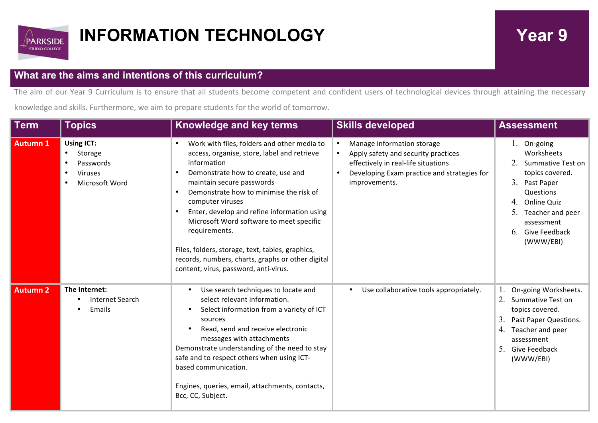

## **INFORMATION TECHNOLOGY** Year 9

## **What are the aims and intentions of this curriculum?**

The aim of our Year 9 Curriculum is to ensure that all students become competent and confident users of technological devices through attaining the necessary

knowledge and skills. Furthermore, we aim to prepare students for the world of tomorrow.

| <b>Term</b>     | <b>Topics</b>                                                                 | Knowledge and key terms                                                                                                                                                                                                                                                                                                                                                                                                                                                                                                     | <b>Skills developed</b>                                                                                                                                                                                         | <b>Assessment</b>                                                                                                                                                                             |
|-----------------|-------------------------------------------------------------------------------|-----------------------------------------------------------------------------------------------------------------------------------------------------------------------------------------------------------------------------------------------------------------------------------------------------------------------------------------------------------------------------------------------------------------------------------------------------------------------------------------------------------------------------|-----------------------------------------------------------------------------------------------------------------------------------------------------------------------------------------------------------------|-----------------------------------------------------------------------------------------------------------------------------------------------------------------------------------------------|
| <b>Autumn 1</b> | <b>Using ICT:</b><br>Storage<br>Passwords<br><b>Viruses</b><br>Microsoft Word | Work with files, folders and other media to<br>٠<br>access, organise, store, label and retrieve<br>information<br>Demonstrate how to create, use and<br>maintain secure passwords<br>Demonstrate how to minimise the risk of<br>$\bullet$<br>computer viruses<br>Enter, develop and refine information using<br>Microsoft Word software to meet specific<br>requirements.<br>Files, folders, storage, text, tables, graphics,<br>records, numbers, charts, graphs or other digital<br>content, virus, password, anti-virus. | Manage information storage<br>$\bullet$<br>Apply safety and security practices<br>$\bullet$<br>effectively in real-life situations<br>Developing Exam practice and strategies for<br>$\bullet$<br>improvements. | 1. On-going<br>Worksheets<br>Summative Test on<br>topics covered.<br>3.<br>Past Paper<br>Questions<br>4. Online Quiz<br>5.<br>Teacher and peer<br>assessment<br>6. Give Feedback<br>(WWW/EBI) |
| <b>Autumn 2</b> | The Internet:<br><b>Internet Search</b><br>Emails<br>$\bullet$                | Use search techniques to locate and<br>select relevant information.<br>Select information from a variety of ICT<br>$\bullet$<br>sources<br>Read, send and receive electronic<br>messages with attachments<br>Demonstrate understanding of the need to stay<br>safe and to respect others when using ICT-<br>based communication.<br>Engines, queries, email, attachments, contacts,<br>Bcc, CC, Subject.                                                                                                                    | Use collaborative tools appropriately.                                                                                                                                                                          | On-going Worksheets.<br>2.<br>Summative Test on<br>topics covered.<br>3.<br>Past Paper Questions.<br>4.<br>Teacher and peer<br>assessment<br>5.<br>Give Feedback<br>(WWW/EBI)                 |